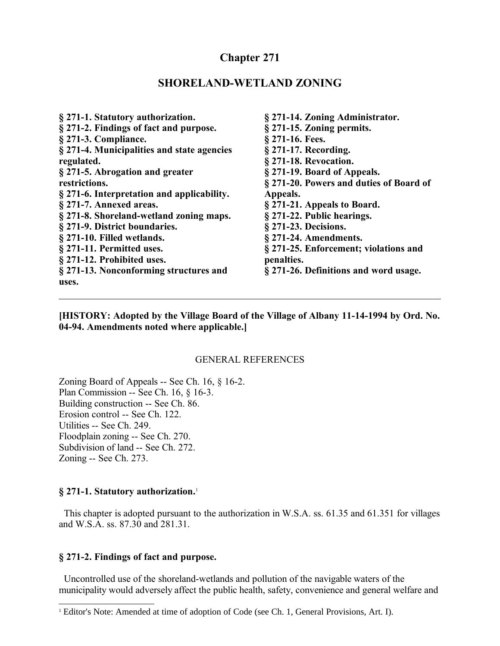# **Chapter 271**

# **SHORELAND-WETLAND ZONING**

| § 271-1. Statutory authorization.          | § 271-14. Zoning Administrator.         |
|--------------------------------------------|-----------------------------------------|
| § 271-2. Findings of fact and purpose.     | § 271-15. Zoning permits.               |
| § 271-3. Compliance.                       | § 271-16. Fees.                         |
| § 271-4. Municipalities and state agencies | § 271-17. Recording.                    |
| regulated.                                 | § 271-18. Revocation.                   |
| § 271-5. Abrogation and greater            | § 271-19. Board of Appeals.             |
| restrictions.                              | § 271-20. Powers and duties of Board of |
| § 271-6. Interpretation and applicability. | Appeals.                                |
| § 271-7. Annexed areas.                    | § 271-21. Appeals to Board.             |
| § 271-8. Shoreland-wetland zoning maps.    | § 271-22. Public hearings.              |
| § 271-9. District boundaries.              | § 271-23. Decisions.                    |
| § 271-10. Filled wetlands.                 | § 271-24. Amendments.                   |
| § 271-11. Permitted uses.                  | § 271-25. Enforcement; violations and   |
| § 271-12. Prohibited uses.                 | penalties.                              |
| § 271-13. Nonconforming structures and     | § 271-26. Definitions and word usage.   |
| uses.                                      |                                         |
|                                            |                                         |

**[HISTORY: Adopted by the Village Board of the Village of Albany 11-14-1994 by Ord. No. 04-94. Amendments noted where applicable.]**

### GENERAL REFERENCES

Zoning Board of Appeals -- See Ch. 16, § 16-2. Plan Commission -- See Ch. 16, § 16-3. Building construction -- See Ch. 86. Erosion control -- See Ch. 122. Utilities -- See Ch. 249. Floodplain zoning -- See Ch. 270. Subdivision of land -- See Ch. 272. Zoning -- See Ch. 273.

### **§ 271-1. Statutory authorization.**[1](#page-0-0)

 This chapter is adopted pursuant to the authorization in W.S.A. ss. 61.35 and 61.351 for villages and W.S.A. ss. 87.30 and 281.31.

# **§ 271-2. Findings of fact and purpose.**

 Uncontrolled use of the shoreland-wetlands and pollution of the navigable waters of the municipality would adversely affect the public health, safety, convenience and general welfare and

<span id="page-0-0"></span><sup>&</sup>lt;sup>1</sup> Editor's Note: Amended at time of adoption of Code (see Ch. 1, General Provisions, Art. I).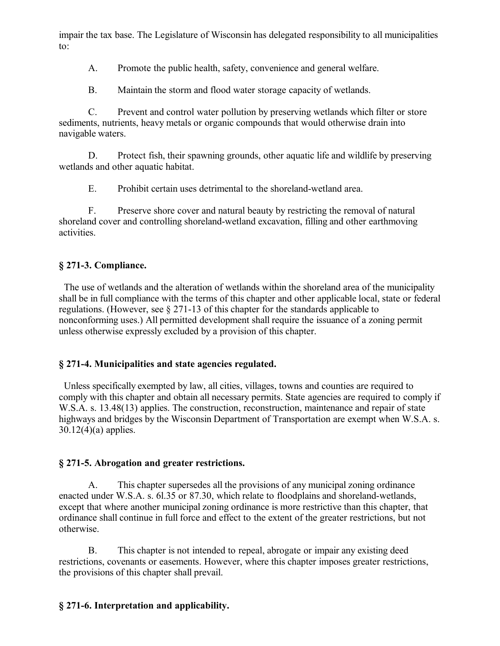impair the tax base. The Legislature of Wisconsin has delegated responsibility to all municipalities to:

A. Promote the public health, safety, convenience and general welfare.

B. Maintain the storm and flood water storage capacity of wetlands.

C. Prevent and control water pollution by preserving wetlands which filter or store sediments, nutrients, heavy metals or organic compounds that would otherwise drain into navigable waters.

D. Protect fish, their spawning grounds, other aquatic life and wildlife by preserving wetlands and other aquatic habitat.

E. Prohibit certain uses detrimental to the shoreland-wetland area.

F. Preserve shore cover and natural beauty by restricting the removal of natural shoreland cover and controlling shoreland-wetland excavation, filling and other earthmoving activities.

# **§ 271-3. Compliance.**

 The use of wetlands and the alteration of wetlands within the shoreland area of the municipality shall be in full compliance with the terms of this chapter and other applicable local, state or federal regulations. (However, see § 271-13 of this chapter for the standards applicable to nonconforming uses.) All permitted development shall require the issuance of a zoning permit unless otherwise expressly excluded by a provision of this chapter.

# **§ 271-4. Municipalities and state agencies regulated.**

 Unless specifically exempted by law, all cities, villages, towns and counties are required to comply with this chapter and obtain all necessary permits. State agencies are required to comply if W.S.A. s. 13.48(13) applies. The construction, reconstruction, maintenance and repair of state highways and bridges by the Wisconsin Department of Transportation are exempt when W.S.A. s. 30.12(4)(a) applies.

# **§ 271-5. Abrogation and greater restrictions.**

A. This chapter supersedes all the provisions of any municipal zoning ordinance enacted under W.S.A. s. 6l.35 or 87.30, which relate to floodplains and shoreland-wetlands, except that where another municipal zoning ordinance is more restrictive than this chapter, that ordinance shall continue in full force and effect to the extent of the greater restrictions, but not otherwise.

B. This chapter is not intended to repeal, abrogate or impair any existing deed restrictions, covenants or easements. However, where this chapter imposes greater restrictions, the provisions of this chapter shall prevail.

# **§ 271-6. Interpretation and applicability.**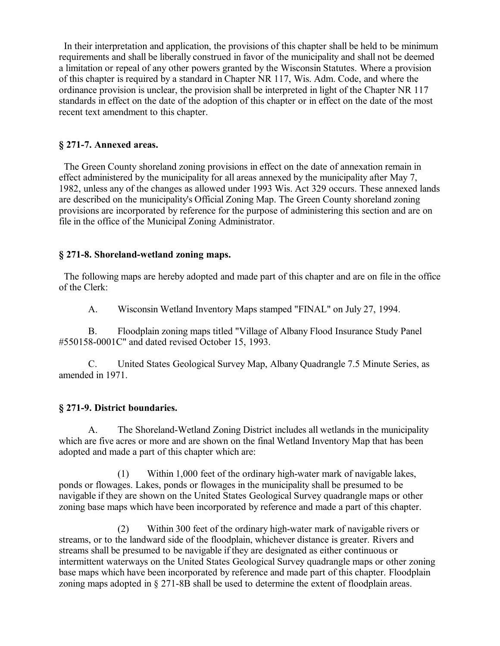In their interpretation and application, the provisions of this chapter shall be held to be minimum requirements and shall be liberally construed in favor of the municipality and shall not be deemed a limitation or repeal of any other powers granted by the Wisconsin Statutes. Where a provision of this chapter is required by a standard in Chapter NR 117, Wis. Adm. Code, and where the ordinance provision is unclear, the provision shall be interpreted in light of the Chapter NR 117 standards in effect on the date of the adoption of this chapter or in effect on the date of the most recent text amendment to this chapter.

#### **§ 271-7. Annexed areas.**

 The Green County shoreland zoning provisions in effect on the date of annexation remain in effect administered by the municipality for all areas annexed by the municipality after May 7, 1982, unless any of the changes as allowed under 1993 Wis. Act 329 occurs. These annexed lands are described on the municipality's Official Zoning Map. The Green County shoreland zoning provisions are incorporated by reference for the purpose of administering this section and are on file in the office of the Municipal Zoning Administrator.

#### **§ 271-8. Shoreland-wetland zoning maps.**

 The following maps are hereby adopted and made part of this chapter and are on file in the office of the Clerk:

A. Wisconsin Wetland Inventory Maps stamped "FINAL" on July 27, 1994.

B. Floodplain zoning maps titled "Village of Albany Flood Insurance Study Panel #550158-0001C" and dated revised October 15, 1993.

C. United States Geological Survey Map, Albany Quadrangle 7.5 Minute Series, as amended in 1971.

### **§ 271-9. District boundaries.**

A. The Shoreland-Wetland Zoning District includes all wetlands in the municipality which are five acres or more and are shown on the final Wetland Inventory Map that has been adopted and made a part of this chapter which are:

(1) Within 1,000 feet of the ordinary high-water mark of navigable lakes, ponds or flowages. Lakes, ponds or flowages in the municipality shall be presumed to be navigable if they are shown on the United States Geological Survey quadrangle maps or other zoning base maps which have been incorporated by reference and made a part of this chapter.

(2) Within 300 feet of the ordinary high-water mark of navigable rivers or streams, or to the landward side of the floodplain, whichever distance is greater. Rivers and streams shall be presumed to be navigable if they are designated as either continuous or intermittent waterways on the United States Geological Survey quadrangle maps or other zoning base maps which have been incorporated by reference and made part of this chapter. Floodplain zoning maps adopted in § 271-8B shall be used to determine the extent of floodplain areas.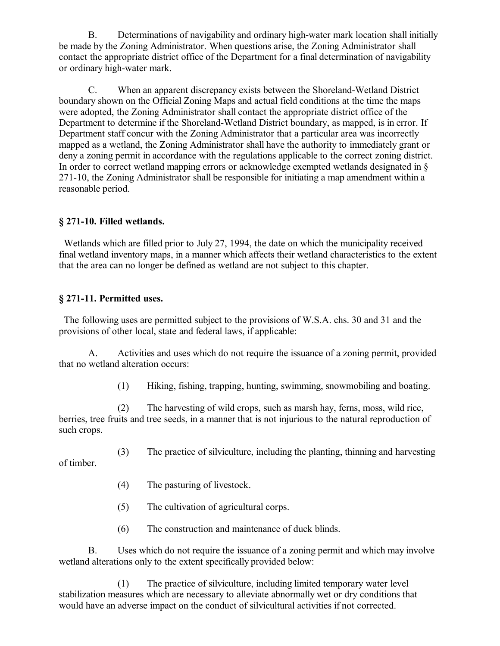B. Determinations of navigability and ordinary high-water mark location shall initially be made by the Zoning Administrator. When questions arise, the Zoning Administrator shall contact the appropriate district office of the Department for a final determination of navigability or ordinary high-water mark.

C. When an apparent discrepancy exists between the Shoreland-Wetland District boundary shown on the Official Zoning Maps and actual field conditions at the time the maps were adopted, the Zoning Administrator shall contact the appropriate district office of the Department to determine if the Shoreland-Wetland District boundary, as mapped, is in error. If Department staff concur with the Zoning Administrator that a particular area was incorrectly mapped as a wetland, the Zoning Administrator shall have the authority to immediately grant or deny a zoning permit in accordance with the regulations applicable to the correct zoning district. In order to correct wetland mapping errors or acknowledge exempted wetlands designated in § 271-10, the Zoning Administrator shall be responsible for initiating a map amendment within a reasonable period.

### **§ 271-10. Filled wetlands.**

 Wetlands which are filled prior to July 27, 1994, the date on which the municipality received final wetland inventory maps, in a manner which affects their wetland characteristics to the extent that the area can no longer be defined as wetland are not subject to this chapter.

### **§ 271-11. Permitted uses.**

 The following uses are permitted subject to the provisions of W.S.A. chs. 30 and 31 and the provisions of other local, state and federal laws, if applicable:

A. Activities and uses which do not require the issuance of a zoning permit, provided that no wetland alteration occurs:

(1) Hiking, fishing, trapping, hunting, swimming, snowmobiling and boating.

(2) The harvesting of wild crops, such as marsh hay, ferns, moss, wild rice, berries, tree fruits and tree seeds, in a manner that is not injurious to the natural reproduction of such crops.

(3) The practice of silviculture, including the planting, thinning and harvesting

of timber.

- (4) The pasturing of livestock.
- (5) The cultivation of agricultural corps.
- (6) The construction and maintenance of duck blinds.

B. Uses which do not require the issuance of a zoning permit and which may involve wetland alterations only to the extent specifically provided below:

(1) The practice of silviculture, including limited temporary water level stabilization measures which are necessary to alleviate abnormally wet or dry conditions that would have an adverse impact on the conduct of silvicultural activities if not corrected.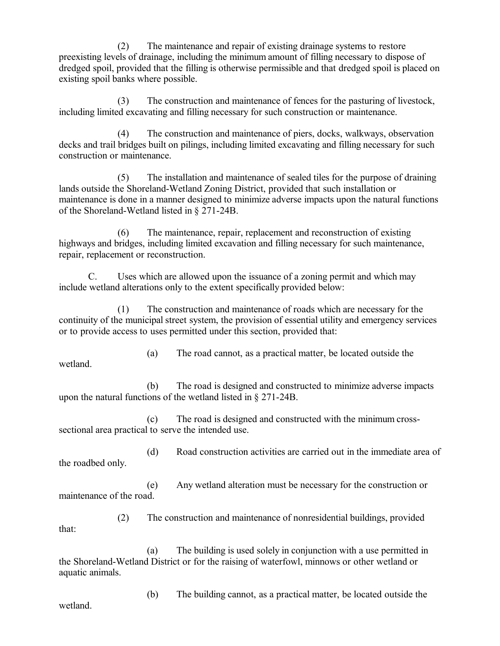(2) The maintenance and repair of existing drainage systems to restore preexisting levels of drainage, including the minimum amount of filling necessary to dispose of dredged spoil, provided that the filling is otherwise permissible and that dredged spoil is placed on existing spoil banks where possible.

(3) The construction and maintenance of fences for the pasturing of livestock, including limited excavating and filling necessary for such construction or maintenance.

(4) The construction and maintenance of piers, docks, walkways, observation decks and trail bridges built on pilings, including limited excavating and filling necessary for such construction or maintenance.

(5) The installation and maintenance of sealed tiles for the purpose of draining lands outside the Shoreland-Wetland Zoning District, provided that such installation or maintenance is done in a manner designed to minimize adverse impacts upon the natural functions of the Shoreland-Wetland listed in § 271-24B.

(6) The maintenance, repair, replacement and reconstruction of existing highways and bridges, including limited excavation and filling necessary for such maintenance, repair, replacement or reconstruction.

C. Uses which are allowed upon the issuance of a zoning permit and which may include wetland alterations only to the extent specifically provided below:

(1) The construction and maintenance of roads which are necessary for the continuity of the municipal street system, the provision of essential utility and emergency services or to provide access to uses permitted under this section, provided that:

wetland.

(a) The road cannot, as a practical matter, be located outside the

(b) The road is designed and constructed to minimize adverse impacts upon the natural functions of the wetland listed in § 271-24B.

(c) The road is designed and constructed with the minimum crosssectional area practical to serve the intended use.

(d) Road construction activities are carried out in the immediate area of the roadbed only.

(e) Any wetland alteration must be necessary for the construction or maintenance of the road.

(2) The construction and maintenance of nonresidential buildings, provided that:

(a) The building is used solely in conjunction with a use permitted in the Shoreland-Wetland District or for the raising of waterfowl, minnows or other wetland or aquatic animals.

(b) The building cannot, as a practical matter, be located outside the

wetland.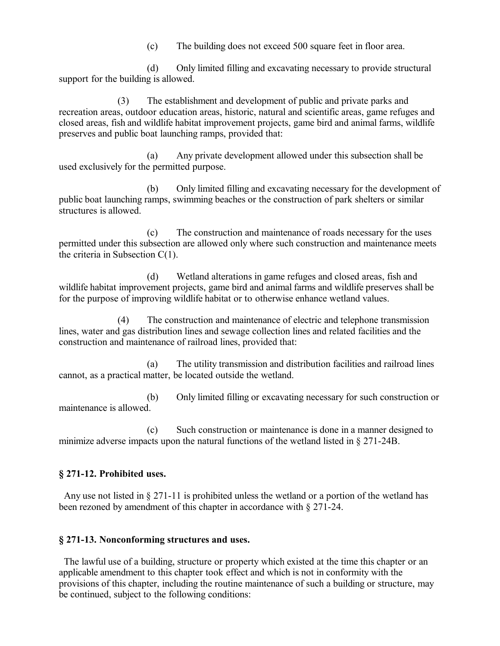(c) The building does not exceed 500 square feet in floor area.

(d) Only limited filling and excavating necessary to provide structural support for the building is allowed.

(3) The establishment and development of public and private parks and recreation areas, outdoor education areas, historic, natural and scientific areas, game refuges and closed areas, fish and wildlife habitat improvement projects, game bird and animal farms, wildlife preserves and public boat launching ramps, provided that:

(a) Any private development allowed under this subsection shall be used exclusively for the permitted purpose.

(b) Only limited filling and excavating necessary for the development of public boat launching ramps, swimming beaches or the construction of park shelters or similar structures is allowed.

(c) The construction and maintenance of roads necessary for the uses permitted under this subsection are allowed only where such construction and maintenance meets the criteria in Subsection C(1).

(d) Wetland alterations in game refuges and closed areas, fish and wildlife habitat improvement projects, game bird and animal farms and wildlife preserves shall be for the purpose of improving wildlife habitat or to otherwise enhance wetland values.

(4) The construction and maintenance of electric and telephone transmission lines, water and gas distribution lines and sewage collection lines and related facilities and the construction and maintenance of railroad lines, provided that:

(a) The utility transmission and distribution facilities and railroad lines cannot, as a practical matter, be located outside the wetland.

(b) Only limited filling or excavating necessary for such construction or maintenance is allowed.

(c) Such construction or maintenance is done in a manner designed to minimize adverse impacts upon the natural functions of the wetland listed in § 271-24B.

# **§ 271-12. Prohibited uses.**

 Any use not listed in § 271-11 is prohibited unless the wetland or a portion of the wetland has been rezoned by amendment of this chapter in accordance with § 271-24.

# **§ 271-13. Nonconforming structures and uses.**

 The lawful use of a building, structure or property which existed at the time this chapter or an applicable amendment to this chapter took effect and which is not in conformity with the provisions of this chapter, including the routine maintenance of such a building or structure, may be continued, subject to the following conditions: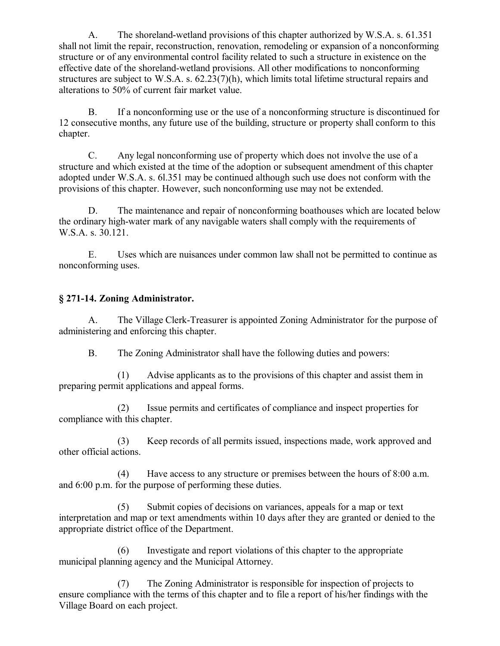A. The shoreland-wetland provisions of this chapter authorized by W.S.A. s. 61.351 shall not limit the repair, reconstruction, renovation, remodeling or expansion of a nonconforming structure or of any environmental control facility related to such a structure in existence on the effective date of the shoreland-wetland provisions. All other modifications to nonconforming structures are subject to W.S.A. s. 62.23(7)(h), which limits total lifetime structural repairs and alterations to 50% of current fair market value.

B. If a nonconforming use or the use of a nonconforming structure is discontinued for 12 consecutive months, any future use of the building, structure or property shall conform to this chapter.

C. Any legal nonconforming use of property which does not involve the use of a structure and which existed at the time of the adoption or subsequent amendment of this chapter adopted under W.S.A. s. 6l.351 may be continued although such use does not conform with the provisions of this chapter. However, such nonconforming use may not be extended.

D. The maintenance and repair of nonconforming boathouses which are located below the ordinary high-water mark of any navigable waters shall comply with the requirements of W.S.A. s. 30.121.

E. Uses which are nuisances under common law shall not be permitted to continue as nonconforming uses.

# **§ 271-14. Zoning Administrator.**

A. The Village Clerk-Treasurer is appointed Zoning Administrator for the purpose of administering and enforcing this chapter.

B. The Zoning Administrator shall have the following duties and powers:

(1) Advise applicants as to the provisions of this chapter and assist them in preparing permit applications and appeal forms.

(2) Issue permits and certificates of compliance and inspect properties for compliance with this chapter.

(3) Keep records of all permits issued, inspections made, work approved and other official actions.

(4) Have access to any structure or premises between the hours of 8:00 a.m. and 6:00 p.m. for the purpose of performing these duties.

(5) Submit copies of decisions on variances, appeals for a map or text interpretation and map or text amendments within 10 days after they are granted or denied to the appropriate district office of the Department.

(6) Investigate and report violations of this chapter to the appropriate municipal planning agency and the Municipal Attorney.

(7) The Zoning Administrator is responsible for inspection of projects to ensure compliance with the terms of this chapter and to file a report of his/her findings with the Village Board on each project.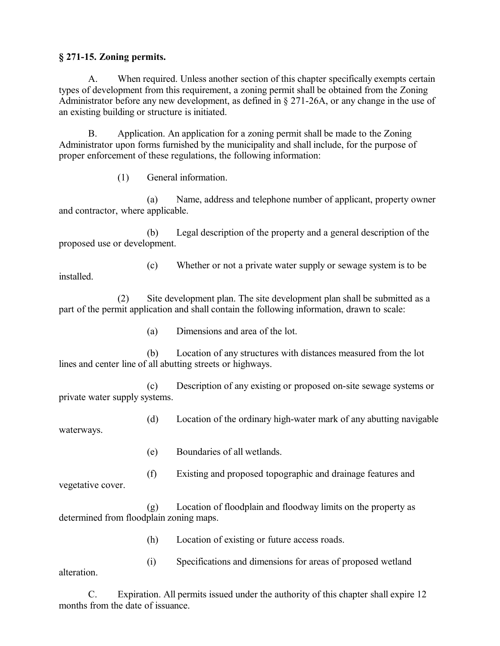### **§ 271-15. Zoning permits.**

A. When required. Unless another section of this chapter specifically exempts certain types of development from this requirement, a zoning permit shall be obtained from the Zoning Administrator before any new development, as defined in § 271-26A, or any change in the use of an existing building or structure is initiated.

B. Application. An application for a zoning permit shall be made to the Zoning Administrator upon forms furnished by the municipality and shall include, for the purpose of proper enforcement of these regulations, the following information:

(1) General information.

(a) Name, address and telephone number of applicant, property owner and contractor, where applicable.

(b) Legal description of the property and a general description of the proposed use or development.

(c) Whether or not a private water supply or sewage system is to be installed.

(2) Site development plan. The site development plan shall be submitted as a part of the permit application and shall contain the following information, drawn to scale:

(a) Dimensions and area of the lot.

(b) Location of any structures with distances measured from the lot lines and center line of all abutting streets or highways.

(c) Description of any existing or proposed on-site sewage systems or private water supply systems.

(d) Location of the ordinary high-water mark of any abutting navigable waterways.

(e) Boundaries of all wetlands.

(f) Existing and proposed topographic and drainage features and

vegetative cover.

(g) Location of floodplain and floodway limits on the property as determined from floodplain zoning maps.

- (h) Location of existing or future access roads.
- (i) Specifications and dimensions for areas of proposed wetland

alteration.

C. Expiration. All permits issued under the authority of this chapter shall expire 12 months from the date of issuance.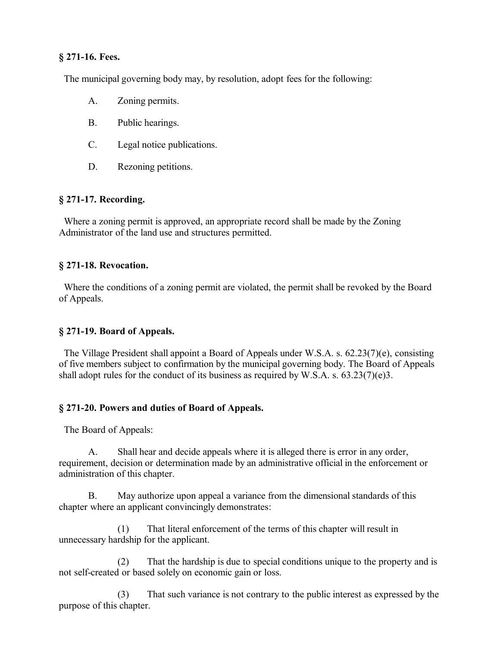# **§ 271-16. Fees.**

The municipal governing body may, by resolution, adopt fees for the following:

- A. Zoning permits.
- B. Public hearings.
- C. Legal notice publications.
- D. Rezoning petitions.

# **§ 271-17. Recording.**

 Where a zoning permit is approved, an appropriate record shall be made by the Zoning Administrator of the land use and structures permitted.

# **§ 271-18. Revocation.**

 Where the conditions of a zoning permit are violated, the permit shall be revoked by the Board of Appeals.

# **§ 271-19. Board of Appeals.**

 The Village President shall appoint a Board of Appeals under W.S.A. s. 62.23(7)(e), consisting of five members subject to confirmation by the municipal governing body. The Board of Appeals shall adopt rules for the conduct of its business as required by W.S.A. s. 63.23(7)(e)3.

# **§ 271-20. Powers and duties of Board of Appeals.**

The Board of Appeals:

A. Shall hear and decide appeals where it is alleged there is error in any order, requirement, decision or determination made by an administrative official in the enforcement or administration of this chapter.

B. May authorize upon appeal a variance from the dimensional standards of this chapter where an applicant convincingly demonstrates:

(1) That literal enforcement of the terms of this chapter will result in unnecessary hardship for the applicant.

(2) That the hardship is due to special conditions unique to the property and is not self-created or based solely on economic gain or loss.

(3) That such variance is not contrary to the public interest as expressed by the purpose of this chapter.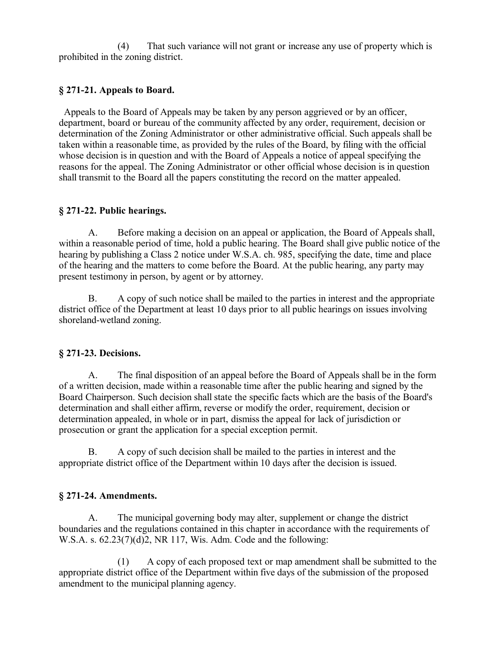(4) That such variance will not grant or increase any use of property which is prohibited in the zoning district.

# **§ 271-21. Appeals to Board.**

 Appeals to the Board of Appeals may be taken by any person aggrieved or by an officer, department, board or bureau of the community affected by any order, requirement, decision or determination of the Zoning Administrator or other administrative official. Such appeals shall be taken within a reasonable time, as provided by the rules of the Board, by filing with the official whose decision is in question and with the Board of Appeals a notice of appeal specifying the reasons for the appeal. The Zoning Administrator or other official whose decision is in question shall transmit to the Board all the papers constituting the record on the matter appealed.

# **§ 271-22. Public hearings.**

A. Before making a decision on an appeal or application, the Board of Appeals shall, within a reasonable period of time, hold a public hearing. The Board shall give public notice of the hearing by publishing a Class 2 notice under W.S.A. ch. 985, specifying the date, time and place of the hearing and the matters to come before the Board. At the public hearing, any party may present testimony in person, by agent or by attorney.

B. A copy of such notice shall be mailed to the parties in interest and the appropriate district office of the Department at least 10 days prior to all public hearings on issues involving shoreland-wetland zoning.

# **§ 271-23. Decisions.**

A. The final disposition of an appeal before the Board of Appeals shall be in the form of a written decision, made within a reasonable time after the public hearing and signed by the Board Chairperson. Such decision shall state the specific facts which are the basis of the Board's determination and shall either affirm, reverse or modify the order, requirement, decision or determination appealed, in whole or in part, dismiss the appeal for lack of jurisdiction or prosecution or grant the application for a special exception permit.

B. A copy of such decision shall be mailed to the parties in interest and the appropriate district office of the Department within 10 days after the decision is issued.

# **§ 271-24. Amendments.**

A. The municipal governing body may alter, supplement or change the district boundaries and the regulations contained in this chapter in accordance with the requirements of W.S.A. s. 62.23(7)(d)2, NR 117, Wis. Adm. Code and the following:

(1) A copy of each proposed text or map amendment shall be submitted to the appropriate district office of the Department within five days of the submission of the proposed amendment to the municipal planning agency.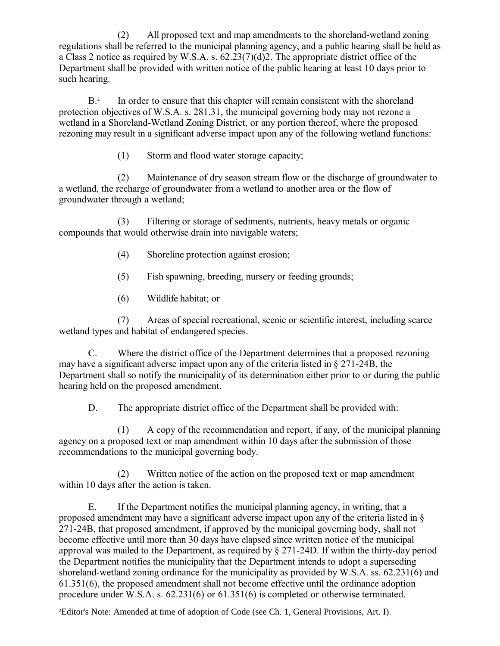(2) All proposed text and map amendments to the shoreland-wetland zoning regulations shall be referred to the municipal planning agency, and a public hearing shall be held as a Class 2 notice as required by W.S.A. s. 62.23(7)(d)2. The appropriate district office of the Department shall be provided with written notice of the public hearing at least 10 days prior to such hearing.

 $\mathbf{B}^2$  $\mathbf{B}^2$ In order to ensure that this chapter will remain consistent with the shoreland protection objectives of W.S.A. s. 281.31, the municipal governing body may not rezone a wetland in a Shoreland-Wetland Zoning District, or any portion thereof, where the proposed rezoning may result in a significant adverse impact upon any of the following wetland functions:

(1) Storm and flood water storage capacity;

(2) Maintenance of dry season stream flow or the discharge of groundwater to a wetland, the recharge of groundwater from a wetland to another area or the flow of groundwater through a wetland;

(3) Filtering or storage of sediments, nutrients, heavy metals or organic compounds that would otherwise drain into navigable waters;

- (4) Shoreline protection against erosion;
- (5) Fish spawning, breeding, nursery or feeding grounds;
- (6) Wildlife habitat; or

(7) Areas of special recreational, scenic or scientific interest, including scarce wetland types and habitat of endangered species.

C. Where the district office of the Department determines that a proposed rezoning may have a significant adverse impact upon any of the criteria listed in § 271-24B, the Department shall so notify the municipality of its determination either prior to or during the public hearing held on the proposed amendment.

D. The appropriate district office of the Department shall be provided with:

(1) A copy of the recommendation and report, if any, of the municipal planning agency on a proposed text or map amendment within 10 days after the submission of those recommendations to the municipal governing body.

(2) Written notice of the action on the proposed text or map amendment within 10 days after the action is taken.

E. If the Department notifies the municipal planning agency, in writing, that a proposed amendment may have a significant adverse impact upon any of the criteria listed in § 271-24B, that proposed amendment, if approved by the municipal governing body, shall not become effective until more than 30 days have elapsed since written notice of the municipal approval was mailed to the Department, as required by § 271-24D. If within the thirty-day period the Department notifies the municipality that the Department intends to adopt a superseding shoreland-wetland zoning ordinance for the municipality as provided by W.S.A. ss. 62.231(6) and 61.351(6), the proposed amendment shall not become effective until the ordinance adoption procedure under W.S.A. s. 62.231(6) or 61.351(6) is completed or otherwise terminated.

<span id="page-10-0"></span><sup>2</sup>Editor's Note: Amended at time of adoption of Code (see Ch. 1, General Provisions, Art. I).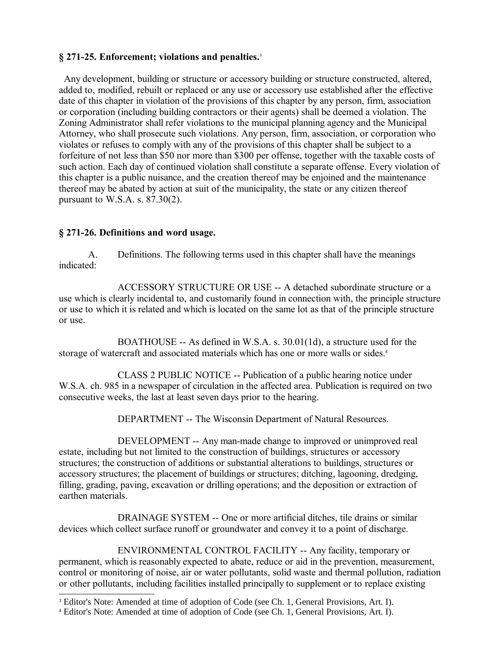# **§ 271-25. Enforcement; violations and penalties.**[3](#page-11-0)

 Any development, building or structure or accessory building or structure constructed, altered, added to, modified, rebuilt or replaced or any use or accessory use established after the effective date of this chapter in violation of the provisions of this chapter by any person, firm, association or corporation (including building contractors or their agents) shall be deemed a violation. The Zoning Administrator shall refer violations to the municipal planning agency and the Municipal Attorney, who shall prosecute such violations. Any person, firm, association, or corporation who violates or refuses to comply with any of the provisions of this chapter shall be subject to a forfeiture of not less than \$50 nor more than \$300 per offense, together with the taxable costs of such action. Each day of continued violation shall constitute a separate offense. Every violation of this chapter is a public nuisance, and the creation thereof may be enjoined and the maintenance thereof may be abated by action at suit of the municipality, the state or any citizen thereof pursuant to W.S.A. s. 87.30(2).

# **§ 271-26. Definitions and word usage.**

A. Definitions. The following terms used in this chapter shall have the meanings indicated:

ACCESSORY STRUCTURE OR USE -- A detached subordinate structure or a use which is clearly incidental to, and customarily found in connection with, the principle structure or use to which it is related and which is located on the same lot as that of the principle structure or use.

BOATHOUSE -- As defined in W.S.A. s. 30.01(1d), a structure used for the storage of watercraft and associated materials which has one or more walls or sides.<sup>[4](#page-11-1)</sup>

CLASS 2 PUBLIC NOTICE -- Publication of a public hearing notice under W.S.A. ch. 985 in a newspaper of circulation in the affected area. Publication is required on two consecutive weeks, the last at least seven days prior to the hearing.

DEPARTMENT -- The Wisconsin Department of Natural Resources.

DEVELOPMENT -- Any man-made change to improved or unimproved real estate, including but not limited to the construction of buildings, structures or accessory structures; the construction of additions or substantial alterations to buildings, structures or accessory structures; the placement of buildings or structures; ditching, lagooning, dredging, filling, grading, paving, excavation or drilling operations; and the deposition or extraction of earthen materials.

DRAINAGE SYSTEM -- One or more artificial ditches, tile drains or similar devices which collect surface runoff or groundwater and convey it to a point of discharge.

ENVIRONMENTAL CONTROL FACILITY -- Any facility, temporary or permanent, which is reasonably expected to abate, reduce or aid in the prevention, measurement, control or monitoring of noise, air or water pollutants, solid waste and thermal pollution, radiation or other pollutants, including facilities installed principally to supplement or to replace existing

<span id="page-11-0"></span><sup>&</sup>lt;sup>3</sup> Editor's Note: Amended at time of adoption of Code (see Ch. 1, General Provisions, Art. I).

<span id="page-11-1"></span><sup>4</sup> Editor's Note: Amended at time of adoption of Code (see Ch. 1, General Provisions, Art. I).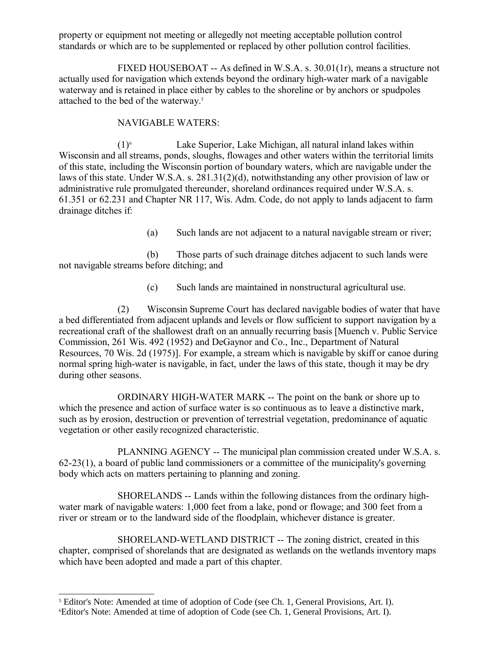property or equipment not meeting or allegedly not meeting acceptable pollution control standards or which are to be supplemented or replaced by other pollution control facilities.

FIXED HOUSEBOAT -- As defined in W.S.A. s. 30.01(1r), means a structure not actually used for navigation which extends beyond the ordinary high-water mark of a navigable waterway and is retained in place either by cables to the shoreline or by anchors or spudpoles attached to the bed of the waterway.[5](#page-12-0)

# NAVIGABLE WATERS:

 $(1)$ <sup>[6](#page-12-1)</sup> Lake Superior, Lake Michigan, all natural inland lakes within Wisconsin and all streams, ponds, sloughs, flowages and other waters within the territorial limits of this state, including the Wisconsin portion of boundary waters, which are navigable under the laws of this state. Under W.S.A. s. 281.31(2)(d), notwithstanding any other provision of law or administrative rule promulgated thereunder, shoreland ordinances required under W.S.A. s. 61.351 or 62.231 and Chapter NR 117, Wis. Adm. Code, do not apply to lands adjacent to farm drainage ditches if:

(a) Such lands are not adjacent to a natural navigable stream or river;

(b) Those parts of such drainage ditches adjacent to such lands were not navigable streams before ditching; and

(c) Such lands are maintained in nonstructural agricultural use.

(2) Wisconsin Supreme Court has declared navigable bodies of water that have a bed differentiated from adjacent uplands and levels or flow sufficient to support navigation by a recreational craft of the shallowest draft on an annually recurring basis [Muench v. Public Service Commission, 261 Wis. 492 (1952) and DeGaynor and Co., Inc., Department of Natural Resources, 70 Wis. 2d (1975)]. For example, a stream which is navigable by skiff or canoe during normal spring high-water is navigable, in fact, under the laws of this state, though it may be dry during other seasons.

ORDINARY HIGH-WATER MARK -- The point on the bank or shore up to which the presence and action of surface water is so continuous as to leave a distinctive mark, such as by erosion, destruction or prevention of terrestrial vegetation, predominance of aquatic vegetation or other easily recognized characteristic.

PLANNING AGENCY -- The municipal plan commission created under W.S.A. s.  $62-23(1)$ , a board of public land commissioners or a committee of the municipality's governing body which acts on matters pertaining to planning and zoning.

SHORELANDS -- Lands within the following distances from the ordinary highwater mark of navigable waters: 1,000 feet from a lake, pond or flowage; and 300 feet from a river or stream or to the landward side of the floodplain, whichever distance is greater.

SHORELAND-WETLAND DISTRICT -- The zoning district, created in this chapter, comprised of shorelands that are designated as wetlands on the wetlands inventory maps which have been adopted and made a part of this chapter.

<span id="page-12-1"></span><span id="page-12-0"></span><sup>5</sup> Editor's Note: Amended at time of adoption of Code (see Ch. 1, General Provisions, Art. I). 6Editor's Note: Amended at time of adoption of Code (see Ch. 1, General Provisions, Art. I).